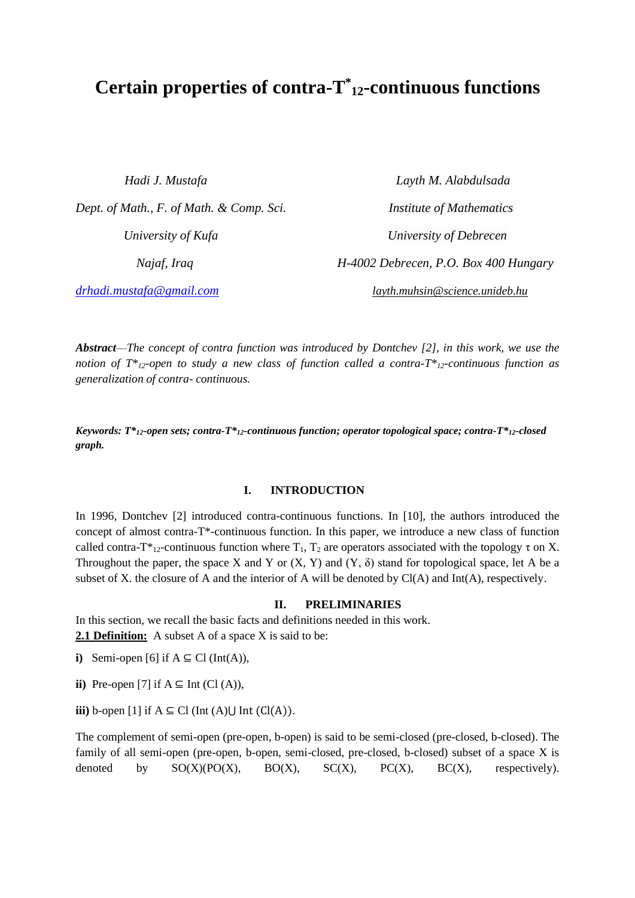# **<sup>12</sup>-continuous functions \* Certain properties of contra-T**

*Hadi J. Mustafa Layth M. Alabdulsada Dept. of Math., F. of Math. & Comp. Sci. Institute of Mathematics*

 *University of Kufa University of Debrecen Najaf, Iraq H-4002 Debrecen, P.O. Box 400 Hungary [drhadi.mustafa@gmail.com](mailto:drhadi.mustafa@gmail.com) layth.muhsin@science.unideb.hu*

*Abstract*—*The concept of contra function was introduced by Dontchev [2], in this work, we use the notion of T\*12-open to study a new class of function called a contra-T\*12-continuous function as generalization of contra- continuous.*

*Keywords: T\*12-open sets; contra-T\*12-continuous function; operator topological space; contra-T\*12-closed graph.*

### **I. INTRODUCTION**

In 1996, Dontchev [2] introduced contra-continuous functions. In [10], the authors introduced the concept of almost contra-T\*-continuous function. In this paper, we introduce a new class of function called contra-T\*<sub>12</sub>-continuous function where T<sub>1</sub>, T<sub>2</sub> are operators associated with the topology  $\tau$  on X. Throughout the paper, the space X and Y or  $(X, Y)$  and  $(Y, \delta)$  stand for topological space, let A be a subset of X. the closure of A and the interior of A will be denoted by Cl(A) and Int(A), respectively.

#### **II. PRELIMINARIES**

In this section, we recall the basic facts and definitions needed in this work. **2.1 Definition:** A subset A of a space X is said to be:

**i**) Semi-open [6] if  $A \subseteq Cl$  (Int(A)),

**ii**) Pre-open [7] if  $A \subseteq Int$  (Cl  $(A)$ ),

**iii**) b-open [1] if  $A \subseteq Cl$  (Int  $(A) \cup Int$  ( $Cl(A)$ ).

The complement of semi-open (pre-open, b-open) is said to be semi-closed (pre-closed, b-closed). The family of all semi-open (pre-open, b-open, semi-closed, pre-closed, b-closed) subset of a space X is denoted by  $SO(X)(PO(X), BO(X), SC(X), PC(X), BC(X))$  respectively).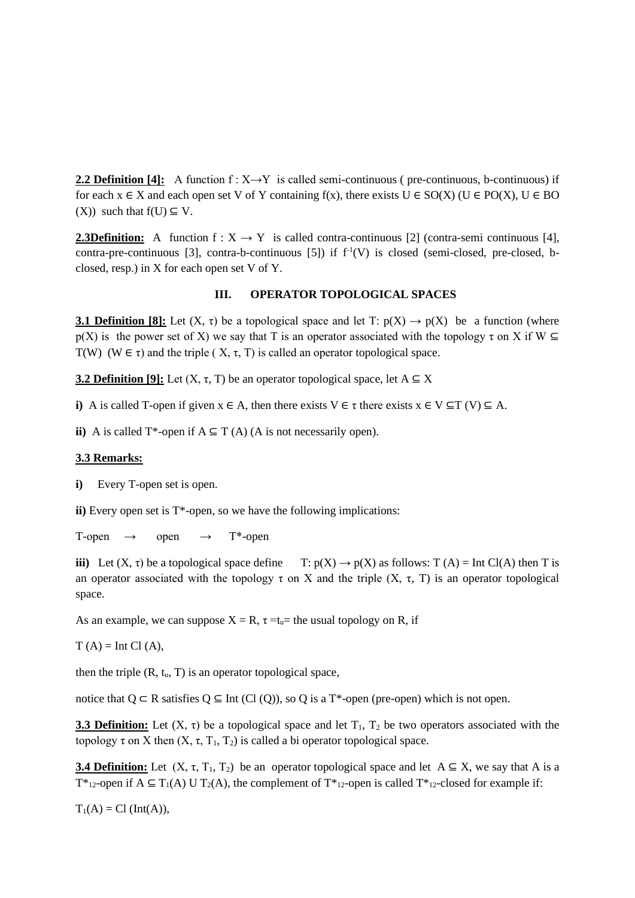**2.2 Definition** [4]: A function  $f: X \rightarrow Y$  is called semi-continuous ( pre-continuous, b-continuous) if for each  $x \in X$  and each open set V of Y containing f(x), there exists  $U \in SO(X)$  ( $U \in PO(X)$ ,  $U \in BO$ (X)) such that  $f(U) \subseteq V$ .

**2.3Definition:** A function  $f: X \rightarrow Y$  is called contra-continuous [2] (contra-semi continuous [4], contra-pre-continuous [3], contra-b-continuous [5]) if  $f<sup>1</sup>(V)$  is closed (semi-closed, pre-closed, bclosed, resp.) in X for each open set V of Y.

## **III. OPERATOR TOPOLOGICAL SPACES**

**3.1 Definition [8]:** Let  $(X, \tau)$  be a topological space and let T:  $p(X) \rightarrow p(X)$  be a function (where  $p(X)$  is the power set of X) we say that T is an operator associated with the topology  $\tau$  on X if W T(W) (W  $\in \tau$ ) and the triple (X,  $\tau$ , T) is called an operator topological space.

**3.2 Definition [9]:** Let  $(X, \tau, T)$  be an operator topological space, let  $A \subseteq X$ 

**i**) A is called T-open if given  $x \in A$ , then there exists  $V \in \tau$  there exists  $x \in V \subseteq T$  (V)  $\subseteq A$ .

**ii**) A is called T<sup>\*</sup>-open if  $A \subseteq T(A)$  (A is not necessarily open).

#### **3.3 Remarks:**

**i)** Every T-open set is open.

**ii)** Every open set is T\*-open, so we have the following implications:

T-open  $\rightarrow$  open  $\rightarrow$  T<sup>\*</sup>-open

**iii)** Let  $(X, \tau)$  be a topological space define  $T: p(X) \to p(X)$  as follows:  $T(A) = Int Cl(A)$  then T is an operator associated with the topology  $\tau$  on X and the triple  $(X, \tau, T)$  is an operator topological space.

As an example, we can suppose  $X = R$ ,  $\tau = t_u$  the usual topology on R, if

 $T(A)$  = Int Cl  $(A)$ ,

then the triple  $(R, t_u, T)$  is an operator topological space,

notice that  $Q \subset R$  satisfies  $Q \subseteq Int(C1(Q))$ , so Q is a T<sup>\*</sup>-open (pre-open) which is not open.

**3.3 Definition:** Let  $(X, \tau)$  be a topological space and let  $T_1$ ,  $T_2$  be two operators associated with the topology τ on X then  $(X, \tau, T_1, T_2)$  is called a bi operator topological space.

**3.4 Definition:** Let  $(X, \tau, T_1, T_2)$  be an operator topological space and let  $A \subseteq X$ , we say that A is a T<sup>\*</sup><sub>12</sub>-open if A  $\subseteq$  T<sub>1</sub>(A) U T<sub>2</sub>(A), the complement of T<sup>\*</sup><sub>12</sub>-open is called T<sup>\*</sup><sub>12</sub>-closed for example if:

 $T_1(A) = Cl (Int(A)),$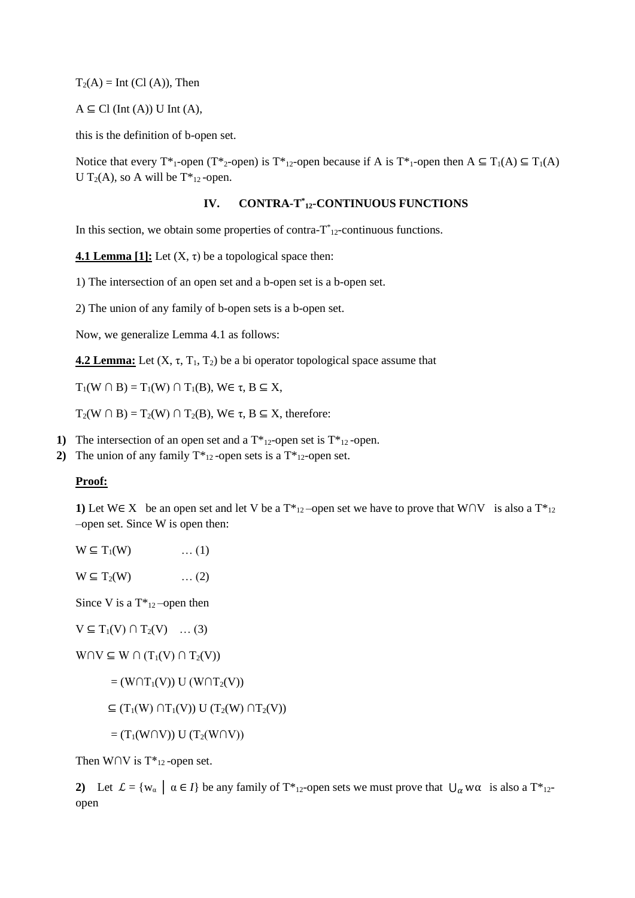$T_2(A)$  = Int (Cl (A)), Then

 $A \subseteq Cl$  (Int (A)) U Int (A),

this is the definition of b-open set.

Notice that every T<sup>\*</sup><sub>1</sub>-open (T<sup>\*</sup><sub>2</sub>-open) is T<sup>\*</sup><sub>12</sub>-open because if A is T<sup>\*</sup><sub>1</sub>-open then A  $\subseteq$  T<sub>1</sub>(A)  $\subseteq$  T<sub>1</sub>(A) U T<sub>2</sub>(A), so A will be  $T^*_{12}$ -open.

## **IV. CONTRA-T \* <sup>12</sup>-CONTINUOUS FUNCTIONS**

In this section, we obtain some properties of contra- $T^*_{12}$ -continuous functions.

**4.1 Lemma [1]:** Let  $(X, \tau)$  be a topological space then:

1) The intersection of an open set and a b-open set is a b-open set.

2) The union of any family of b-open sets is a b-open set.

Now, we generalize Lemma 4.1 as follows:

**4.2 Lemma:** Let  $(X, \tau, T_1, T_2)$  be a bi operator topological space assume that

 $T_1(W \cap B) = T_1(W) \cap T_1(B)$ ,  $W \in \tau$ ,  $B \subseteq X$ ,

 $T_2(W \cap B) = T_2(W) \cap T_2(B)$ ,  $W \in \tau$ ,  $B \subseteq X$ , therefore:

- **1)** The intersection of an open set and a  $T^*_{12}$ -open set is  $T^*_{12}$ -open.
- **2)** The union of any family  $T^*_{12}$ -open sets is a  $T^*_{12}$ -open set.

#### **Proof:**

**1)** Let W∈ X be an open set and let V be a  $T^*_{12}$ -open set we have to prove that W∩V is also a  $T^*_{12}$ –open set. Since W is open then:

| $W \subseteq T_1(W)$ | $\dots(1)$ |
|----------------------|------------|
|                      |            |

 $W \subseteq T_2(W)$  ... (2)

Since V is a  $T^*_{12}$ -open then

$$
V \subseteq T_1(V) \cap T_2(V) \quad \dots (3)
$$

 $W \cap V \subseteq W \cap (T_1(V) \cap T_2(V))$ 

$$
= (W \cap T_1(V)) U (W \cap T_2(V))
$$

 $\subseteq$  (T<sub>1</sub>(W) ∩T<sub>1</sub>(V)) U (T<sub>2</sub>(W) ∩T<sub>2</sub>(V))

$$
= (\mathrm{T}_1(\mathrm{W} \cap \mathrm{V})) \mathrm{U} \left( \mathrm{T}_2(\mathrm{W} \cap \mathrm{V}) \right)
$$

Then W∩V is  $T^*_{12}$ -open set.

**2)** Let  $\mathcal{L} = \{w_{\alpha} \mid \alpha \in I\}$  be any family of T\*<sub>12</sub>-open sets we must prove that  $\bigcup_{\alpha} w_{\alpha}$  is also a T\*<sub>12</sub>open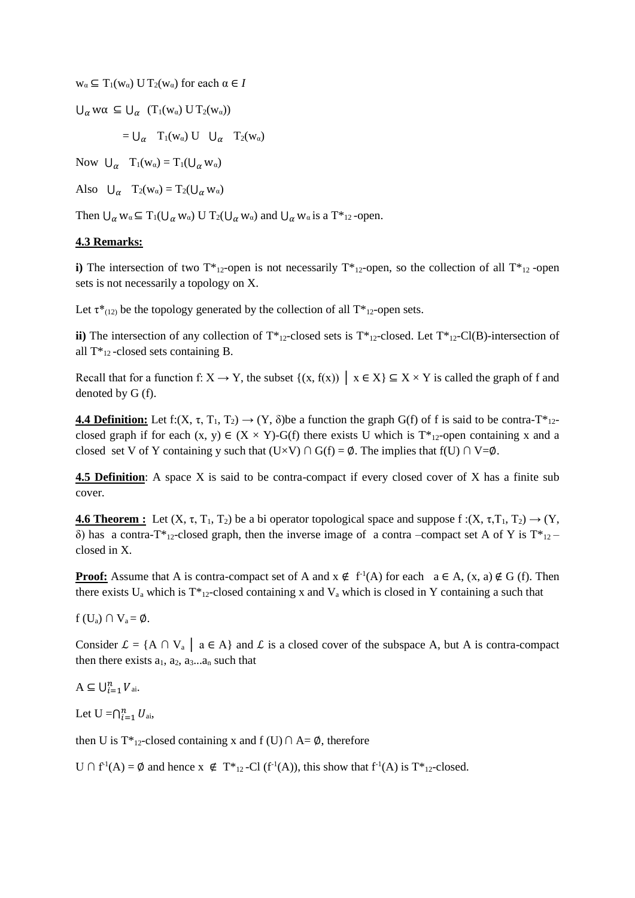$w_{\alpha} \subseteq T_1(w_{\alpha})$  U  $T_2(w_{\alpha})$  for each  $\alpha \in I$ 

 $\bigcup_{\alpha} w\alpha \subseteq \bigcup_{\alpha} (T_1(w_{\alpha}) U T_2(w_{\alpha}))$ 

 $= U_{\alpha}$  T<sub>1</sub>(w<sub>a</sub>) U  $U_{\alpha}$  T<sub>2</sub>(w<sub>a</sub>)

Now  $U_{\alpha}$   $T_1(w_{\alpha}) = T_1(U_{\alpha} w_{\alpha})$ 

Also  $U_{\alpha}$   $T_2(w_{\alpha}) = T_2(U_{\alpha} w_{\alpha})$ 

Then  $\bigcup_{\alpha} w_{\alpha} \subseteq T_1(\bigcup_{\alpha} w_{\alpha})$  U  $T_2(\bigcup_{\alpha} w_{\alpha})$  and  $\bigcup_{\alpha} w_{\alpha}$  is a  $T^*_{12}$ -open.

# **4.3 Remarks:**

**i)** The intersection of two  $T^*_{12}$ -open is not necessarily  $T^*_{12}$ -open, so the collection of all  $T^*_{12}$ -open sets is not necessarily a topology on X.

Let  $\tau^*_{(12)}$  be the topology generated by the collection of all  $T^*_{12}$ -open sets.

**ii)** The intersection of any collection of  $T^*_{12}$ -closed sets is  $T^*_{12}$ -closed. Let  $T^*_{12}$ -Cl(B)-intersection of all  $T^*_{12}$ -closed sets containing B.

Recall that for a function f:  $X \to Y$ , the subset  $\{(x, f(x)) | x \in X\} \subseteq X \times Y$  is called the graph of f and denoted by G (f).

**4.4 Definition:** Let f:(X,  $\tau$ , T<sub>1</sub>, T<sub>2</sub>)  $\rightarrow$  (Y,  $\delta$ )be a function the graph G(f) of f is said to be contra-T<sup>\*</sup><sub>12</sub>closed graph if for each  $(x, y) \in (X \times Y)$ -G(f) there exists U which is T<sup>\*</sup><sub>12</sub>-open containing x and a closed set V of Y containing y such that  $(U\times V) \cap G(f) = \emptyset$ . The implies that  $f(U) \cap V = \emptyset$ .

**4.5 Definition**: A space X is said to be contra-compact if every closed cover of X has a finite sub cover.

**4.6 Theorem :** Let  $(X, \tau, T_1, T_2)$  be a bi operator topological space and suppose  $f:(X, \tau, T_1, T_2) \rightarrow (Y, T_1, T_2)$ δ) has a contra-T<sup>\*</sup><sub>12</sub>-closed graph, then the inverse image of a contra –compact set A of Y is T<sup>\*</sup><sub>12</sub>closed in X.

**Proof:** Assume that A is contra-compact set of A and  $x \notin f^{-1}(A)$  for each  $a \in A$ ,  $(x, a) \notin G$  (f). Then there exists U<sub>a</sub> which is  $T_{12}$ -closed containing x and V<sub>a</sub> which is closed in Y containing a such that

 $f(U_a) \cap V_a = \emptyset$ .

Consider  $\mathcal{L} = \{A \cap V_a \mid a \in A\}$  and  $\mathcal{L}$  is a closed cover of the subspace A, but A is contra-compact then there exists  $a_1$ ,  $a_2$ ,  $a_3...a_n$  such that

 $A \subseteq \bigcup_{i=1}^{n} V_{ai}.$ 

Let  $U = \bigcap_{i=1}^n U_{ai}$ ,

then U is T<sup>\*</sup><sub>12</sub>-closed containing x and f (U)  $\cap$  A=  $\emptyset$ , therefore

U ∩ f<sup>1</sup>(A) = Ø and hence x ∉ T<sup>\*</sup><sub>12</sub>-Cl (f<sup>-1</sup>(A)), this show that f<sup>-1</sup>(A) is T<sup>\*</sup><sub>12</sub>-closed.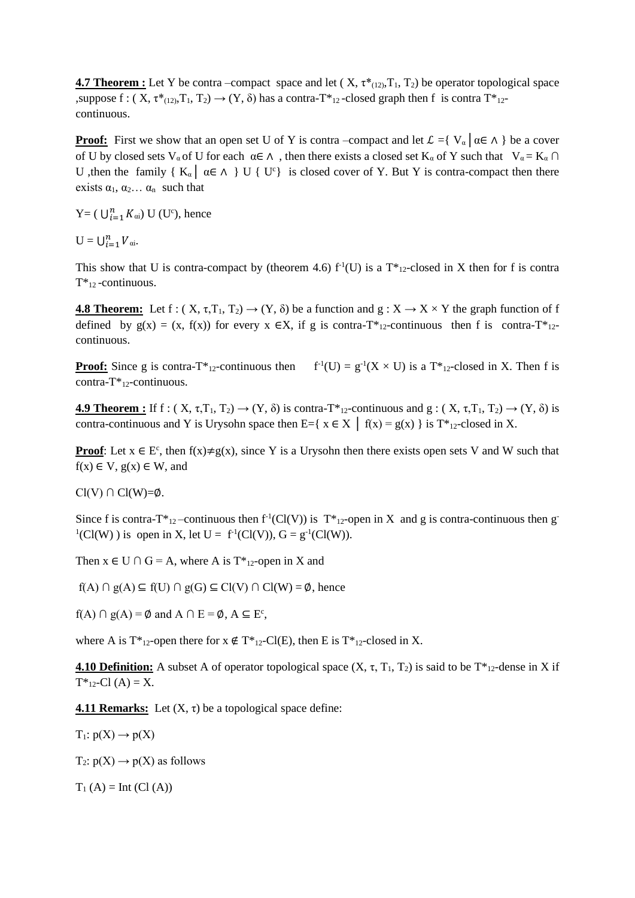**4.7 Theorem :** Let Y be contra –compact space and let  $(X, \tau^*_{(12)}, T_1, T_2)$  be operator topological space ,suppose f :  $(X, \tau^*_{(12)}, T_1, T_2) \rightarrow (Y, \delta)$  has a contra-T<sup>\*</sup><sub>12</sub>-closed graph then f is contra T<sup>\*</sup><sub>12</sub>continuous.

**Proof:** First we show that an open set U of Y is contra –compact and let  $\mathcal{L} = \{ V_\alpha \mid \alpha \in \Lambda \}$  be a cover of U by closed sets V<sub>a</sub> of U for each  $\alpha \in \Lambda$ , then there exists a closed set K<sub>a</sub> of Y such that V<sub>a</sub> = K<sub>a</sub> ∩ U ,then the family {  $K_{\alpha}$  |  $\alpha \in \Lambda$  } U { U<sup>c</sup>} is closed cover of Y. But Y is contra-compact then there exists  $\alpha_1, \alpha_2, \ldots, \alpha_n$  such that

Y = (  $\bigcup_{i=1}^{n} K_{\alpha i}$ ) U (U<sup>c</sup>), hence

 $U = \bigcup_{i=1}^n V_{\alpha i}.$ 

This show that U is contra-compact by (theorem 4.6)  $f<sup>1</sup>(U)$  is a T<sup>\*</sup><sub>12</sub>-closed in X then for f is contra  $T^*_{12}$ -continuous.

**4.8 Theorem:** Let f:  $(X, \tau, T_1, T_2) \rightarrow (Y, \delta)$  be a function and  $g: X \rightarrow X \times Y$  the graph function of f defined by  $g(x) = (x, f(x))$  for every  $x \in X$ , if g is contra-T<sup>\*</sup><sub>12</sub>-continuous then f is contra-T<sup>\*</sup><sub>12</sub>continuous.

**Proof:** Since g is contra-T<sup>\*</sup><sub>12</sub>-continuous then  $f'(U) = g'(X \times U)$  is a T<sup>\*</sup><sub>12</sub>-closed in X. Then f is contra- $T^*_{12}$ -continuous.

**4.9 Theorem :** If f :  $(X, \tau, T_1, T_2) \rightarrow (Y, \delta)$  is contra-T<sup>\*</sup><sub>12</sub>-continuous and g :  $(X, \tau, T_1, T_2) \rightarrow (Y, \delta)$  is contra-continuous and Y is Urysohn space then E={ $x \in X \mid f(x) = g(x)$ } is T<sup>\*</sup><sub>12</sub>-closed in X.

**Proof**: Let  $x \in E^c$ , then  $f(x) \neq g(x)$ , since Y is a Urysohn then there exists open sets V and W such that  $f(x) \in V$ ,  $g(x) \in W$ , and

 $Cl(V) \cap Cl(W)=\emptyset$ .

Since f is contra-T<sup>\*</sup><sub>12</sub>-continuous then  $f<sup>1</sup>(Cl(V))$  is T<sup>\*</sup><sub>12</sub>-open in X and g is contra-continuous then g  ${}^{1}(Cl(W))$  is open in X, let U = f<sup>-1</sup>(Cl(V)), G = g<sup>-1</sup>(Cl(W)).

Then  $x \in U \cap G = A$ , where A is T<sup>\*</sup><sub>12</sub>-open in X and

 $f(A) \cap g(A) \subseteq f(U) \cap g(G) \subseteq Cl(V) \cap Cl(W) = \emptyset$ , hence

 $f(A) \cap g(A) = \emptyset$  and  $A \cap E = \emptyset$ ,  $A \subseteq E^c$ ,

where A is  $T^*_{12}$ -open there for  $x \notin T^*_{12}$ -Cl(E), then E is  $T^*_{12}$ -closed in X.

**4.10 Definition:** A subset A of operator topological space  $(X, \tau, T_1, T_2)$  is said to be  $T^*_{12}$ -dense in X if  $T^*_{12}$ -Cl  $(A) = X$ .

**4.11 Remarks:** Let  $(X, \tau)$  be a topological space define:

 $T_1: p(X) \rightarrow p(X)$ 

 $T_2: p(X) \rightarrow p(X)$  as follows

 $T_1(A) = Int (Cl (A))$